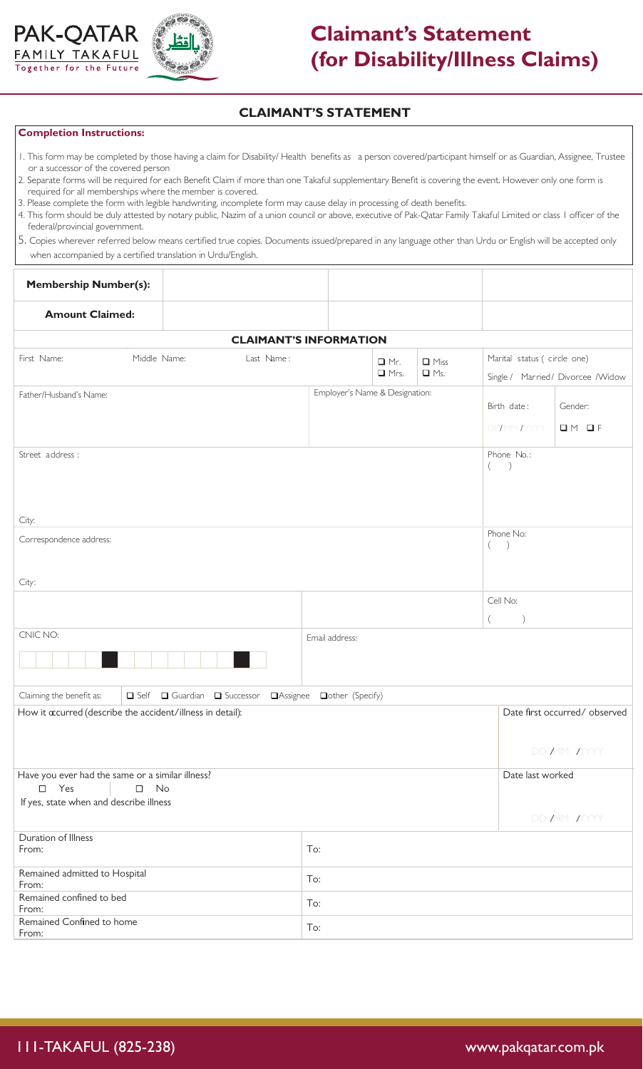



## **Claimant's Statement (for Disability/Illness Claims)**

## **CLAIMANT'S STATEMENT**

## **Completion Instructions:**

- 1. This form may be completed by those having a claim for Disability/ Health benefits as a person covered/participant himself or as Guardian, Assignee, Trustee or a successor of the covered person
- 2. Separate forms will be required for each Benefit Claim if more than one Takaful supplementary Benefit is covering the event. However only one form is required for all memberships where the member is covered.
- 3. Please complete the form with legible handwriting, incomplete form may cause delay in processing of death benefits.
- 4. This form should be duly attested by notary public, Nazim of a union council or above, executive of Pak-Qatar Family Takaful Limited or class 1 officer of the federal/provincial government.
- 5. Copies wherever referred below means certified true copies. Documents issued/prepared in any language other than Urdu or English will be accepted only when accompanied by a certified translation in Urdu/English.

| <b>Membership Number(s):</b>                                                      |                                             |                  |  |                           |                                                                    |                  |                            |  |  |  |  |
|-----------------------------------------------------------------------------------|---------------------------------------------|------------------|--|---------------------------|--------------------------------------------------------------------|------------------|----------------------------|--|--|--|--|
| <b>Amount Claimed:</b>                                                            |                                             |                  |  |                           |                                                                    |                  |                            |  |  |  |  |
| <b>CLAIMANT'S INFORMATION</b>                                                     |                                             |                  |  |                           |                                                                    |                  |                            |  |  |  |  |
| First Name:<br>Middle Name:                                                       | Last Name:<br>$\Box$ Mr.<br>$\Box$ Mrs.     |                  |  | $\Box$ Miss<br>$\Box$ Ms. | Marital status ( circle one)<br>Single / Married / Divorcee /Widow |                  |                            |  |  |  |  |
| Father/Husband's Name:                                                            | Employer's Name & Designation:              |                  |  |                           | Birth date:                                                        | Gender:          |                            |  |  |  |  |
|                                                                                   |                                             |                  |  |                           |                                                                    | DD/MM/YYYY       | $\Box M \Box F$            |  |  |  |  |
| Street address :                                                                  |                                             |                  |  |                           | Phone No.:<br>$($ $)$                                              |                  |                            |  |  |  |  |
| City:                                                                             |                                             |                  |  |                           |                                                                    |                  |                            |  |  |  |  |
| Correspondence address:<br>$\left($                                               |                                             |                  |  |                           |                                                                    |                  | Phone No:<br>$\rightarrow$ |  |  |  |  |
| City:                                                                             |                                             |                  |  |                           |                                                                    |                  |                            |  |  |  |  |
|                                                                                   |                                             |                  |  |                           |                                                                    |                  | Cell No:                   |  |  |  |  |
| CNIC NO:                                                                          |                                             |                  |  |                           |                                                                    |                  |                            |  |  |  |  |
|                                                                                   |                                             | Email address:   |  |                           |                                                                    |                  |                            |  |  |  |  |
| Claiming the benefit as:                                                          | Self Guardian Guaccessor<br><b>Assignee</b> | Dother (Specify) |  |                           |                                                                    |                  |                            |  |  |  |  |
| How it acurred (describe the accident/illness in detail):                         |                                             |                  |  |                           | Date first occurred/observed                                       |                  |                            |  |  |  |  |
|                                                                                   |                                             |                  |  |                           |                                                                    | DD MM MYYY       |                            |  |  |  |  |
| Have you ever had the same or a similar illness?<br>$\square$ Yes<br>No<br>$\Box$ |                                             |                  |  |                           |                                                                    | Date last worked |                            |  |  |  |  |
| If yes, state when and describe illness                                           |                                             |                  |  |                           |                                                                    | DD MM MYYY       |                            |  |  |  |  |
| Duration of Illness<br>From:                                                      | To:                                         |                  |  |                           |                                                                    |                  |                            |  |  |  |  |
| Remained admitted to Hospital<br>From:                                            | To:                                         |                  |  |                           |                                                                    |                  |                            |  |  |  |  |
| Remained confined to bed<br>From:                                                 | To:                                         |                  |  |                           |                                                                    |                  |                            |  |  |  |  |
| Remained Confined to home<br>From:                                                |                                             | To:              |  |                           |                                                                    |                  |                            |  |  |  |  |